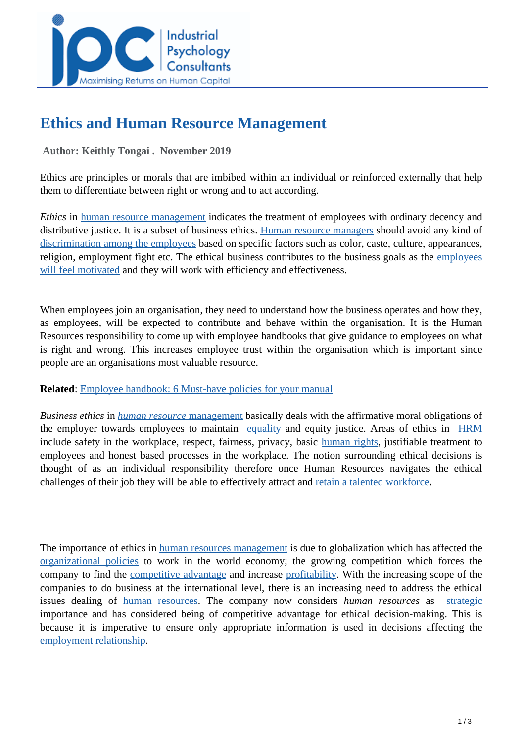

## **Ethics and Human Resource Management**

 **Author: Keithly Tongai . November 2019** 

Ethics are principles or morals that are imbibed within an individual or reinforced externally that help them to differentiate between right or wrong and to act according.

*Ethics* in [human resource management](../articles/What-Is-Human-Resources-Management) indicates the treatment of employees with ordinary decency and distributive justice. It is a subset of business ethics. [Human resource managers](../articles/what-do-human-resources-managers-do) should avoid any kind of [discrimination among the employees](https://www.marketing91.com/ethics-in-hr/) based on specific factors such as color, caste, culture, appearances, religion, employment fight etc. The ethical business contributes to the business goals as the [employees](../articles/HOWTOMOTIVATEEMPLOYEES) [will feel motivated](../articles/HOWTOMOTIVATEEMPLOYEES) and they will work with efficiency and effectiveness.

When employees join an organisation, they need to understand how the business operates and how they, as employees, will be expected to contribute and behave within the organisation. It is the Human Resources responsibility to come up with employee handbooks that give guidance to employees on what is right and wrong. This increases employee trust within the organisation which is important since people are an organisations most valuable resource.

**Related:** [Employee handbook: 6 Must-have policies for your manual](../articles/employee-handbook-6-must-have-policies-for-your-manual)

*Business ethics* in *[human resource](../articles/What-Is-Human-Resources-Management)* [management](../articles/What-Is-Human-Resources-Management) basically deals with the affirmative moral obligations of the employer towards employees to maintain [equality a](../articles/Kamala-Harris-A-Win-For-Gender-Equality-)nd equity justice. Areas of ethics in [HRM](../articles/What-Is-Human-Resources-Management) include safety in the workplace, respect, fairness, privacy, basic [human rights,](../articles/Employee-Rights-Why-We-Should-Support-Them-) justifiable treatment to employees and honest based processes in the workplace. The notion surrounding ethical decisions is thought of as an individual responsibility therefore once Human Resources navigates the ethical challenges of their job they will be able to effectively attract and [retain a talented workforce](../articles/Employee-Retention-Strategies)**.**

The importance of ethics in [human resources management](../articles/What-Is-Human-Resources-Management) is due to globalization which has affected the [organizational policies](../articles/How-To-Implement-An-Open-door-Policy) to work in the world economy; the growing competition which forces the company to find the *competitive advantage* and increase *profitability*. With the increasing scope of the companies to do business at the international level, there is an increasing need to address the ethical issues dealing of **[human resources](../articles/Human-Resources-As-A-Career-Option)**. The company now considers *human resources* as [strategic](../articles/strategic-human-resources-management) importance and has considered being of competitive advantage for ethical decision-making. This is because it is imperative to ensure only appropriate information is used in decisions affecting the [employment relationship](https://www.shrm.org/about-shrm/pages/code-of-ethics.aspx).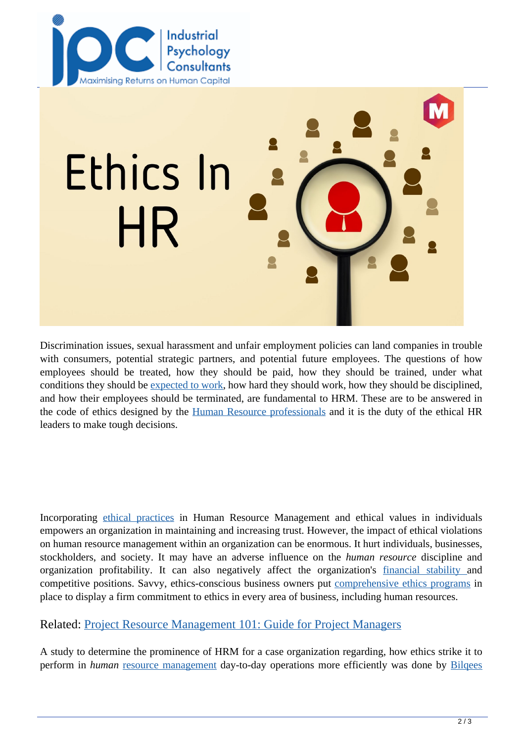



Discrimination issues, sexual harassment and unfair employment policies can land companies in trouble with consumers, potential strategic partners, and potential future employees. The questions of how employees should be treated, how they should be paid, how they should be trained, under what conditions they should be [expected to work](https://smallbusiness.chron.com/importance-ethics-human-resources-12780.html), how hard they should work, how they should be disciplined, and how their employees should be terminated, are fundamental to HRM. These are to be answered in the code of ethics designed by the [Human Resource professionals](../articles/human-resources-skills-a-guide-to-hr-professionals) and it is the duty of the ethical HR leaders to make tough decisions.

Incorporating [ethical practices](https://www.marketing91.com/ethics-in-hr/) in Human Resource Management and ethical values in individuals empowers an organization in maintaining and increasing trust. However, the impact of ethical violations on human resource management within an organization can be enormous. It hurt individuals, businesses, stockholders, and society. It may have an adverse influence on the *human resource* discipline and organization profitability. It can also negatively affect the organization's [financial stability a](../articles/financial-literacy-financial-lessons-for-employees)nd competitive positions. Savvy, ethics-conscious business owners put [comprehensive ethics programs](https://smallbusiness.chron.com/importance-ethics-human-resources-12780.html) in place to display a firm commitment to ethics in every area of business, including human resources.

## Related: [Project Resource Management 101: Guide for Project Managers](https://teamdeck.io/project-management/project-resource-management-guide/)

A study to determine the prominence of HRM for a case organization regarding, how ethics strike it to perform in *human* [resource management](https://teamdeck.io/project-management/project-resource-management-guide/) day-to-day operations more efficiently was done by **Bilgees**